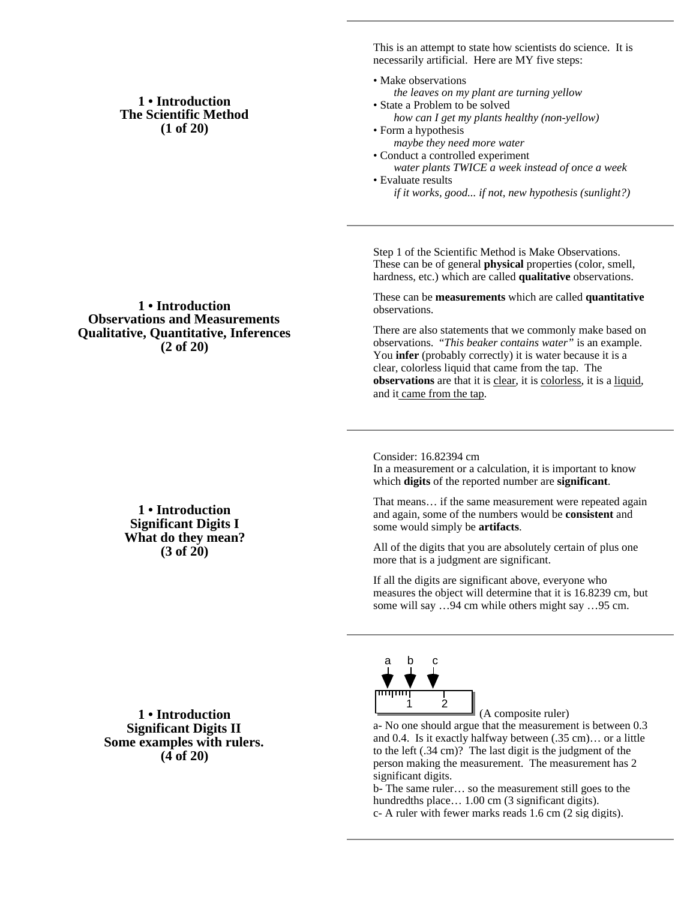# **1 • Introduction The Scientific Method (1 of 20)**

# **1 • Introduction Observations and Measurements Qualitative, Quantitative, Inferences (2 of 20)**

**1 • Introduction Significant Digits I What do they mean? (3 of 20)**

**1 • Introduction Significant Digits II Some examples with rulers. (4 of 20)**

This is an attempt to state how scientists do science. It is necessarily artificial. Here are MY five steps:

- Make observations *the leaves on my plant are turning yellow* • State a Problem to be solved
- *how can I get my plants healthy (non-yellow)* • Form a hypothesis
- *maybe they need more water* • Conduct a controlled experiment
- *water plants TWICE a week instead of once a week* • Evaluate results
	- *if it works, good... if not, new hypothesis (sunlight?)*

Step 1 of the Scientific Method is Make Observations. These can be of general **physical** properties (color, smell, hardness, etc.) which are called **qualitative** observations.

These can be **measurements** which are called **quantitative** observations.

There are also statements that we commonly make based on observations. "*This beaker contains water"* is an example. You **infer** (probably correctly) it is water because it is a clear, colorless liquid that came from the tap. The **observations** are that it is clear, it is colorless, it is a liquid, and it came from the tap.

Consider: 16.82394 cm

In a measurement or a calculation, it is important to know which **digits** of the reported number are **significant**.

That means… if the same measurement were repeated again and again, some of the numbers would be **consistent** and some would simply be **artifacts**.

All of the digits that you are absolutely certain of plus one more that is a judgment are significant.

If all the digits are significant above, everyone who measures the object will determine that it is 16.8239 cm, but some will say …94 cm while others might say …95 cm.



(A composite ruler)

a- No one should argue that the measurement is between 0.3 and 0.4. Is it exactly halfway between (.35 cm)… or a little to the left (.34 cm)? The last digit is the judgment of the person making the measurement. The measurement has 2 significant digits.

b- The same ruler… so the measurement still goes to the hundredths place... 1.00 cm (3 significant digits). c- A ruler with fewer marks reads 1.6 cm (2 sig digits).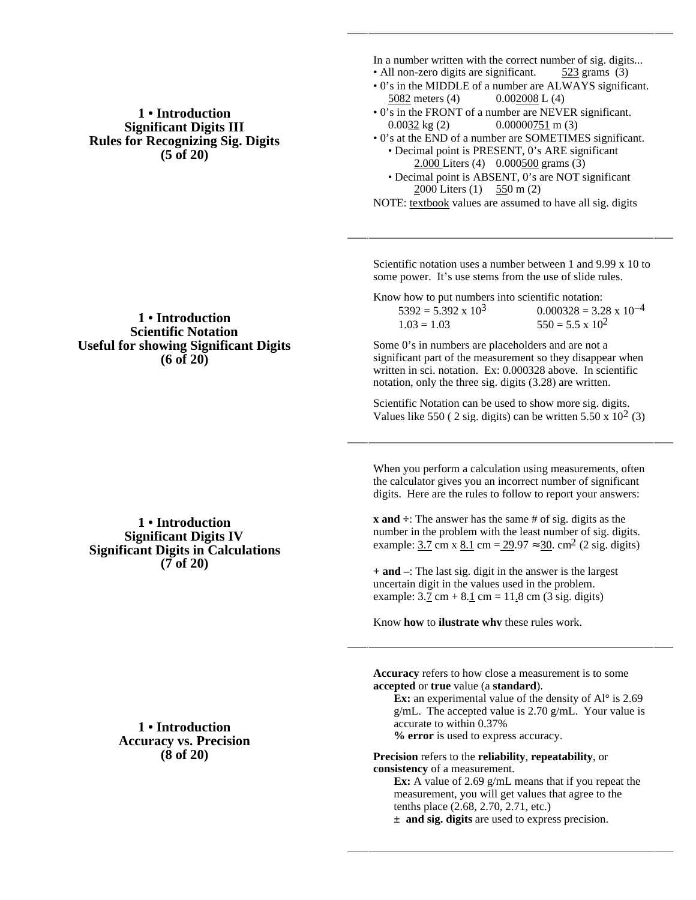### **1 • Introduction Significant Digits III Rules for Recognizing Sig. Digits (5 of 20)**

### **1 • Introduction Scientific Notation Useful for showing Significant Digits (6 of 20)**

## **1 • Introduction Significant Digits IV Significant Digits in Calculations (7 of 20)**

**1 • Introduction Accuracy vs. Precision (8 of 20)**

In a number written with the correct number of sig. digits... • All non-zero digits are significant. 523 grams (3)

- 0's in the MIDDLE of a number are ALWAYS significant. 5082 meters (4)  $0.002008 \text{ L} (4)$
- 0's in the FRONT of a number are NEVER significant. 0.00000751 m (3)
- 0's at the END of a number are SOMETIMES significant. • Decimal point is PRESENT, 0's ARE significant 2.000 Liters (4) 0.000 500 grams (3)
	- Decimal point is ABSENT, 0's are NOT significant 2000 Liters (1) 550 m (2)

NOTE: textbook values are assumed to have all sig. digits

Scientific notation uses a number between 1 and 9.99 x 10 to some power. It's use stems from the use of slide rules.

Know how to put numbers into scientific notation:  $5392 = 5.392 \times 10^3$  0.000328 = 3.28 x 10<sup>-4</sup>  $1.03 = 1.03$   $550 = 5.5 \times 10^2$ 

Some 0's in numbers are placeholders and are not a significant part of the measurement so they disappear when written in sci. notation. Ex: 0.000328 above. In scientific notation, only the three sig. digits (3.28) are written.

Scientific Notation can be used to show more sig. digits. Values like 550 ( 2 sig. digits) can be written 5.50 x  $10^2$  (3)

When you perform a calculation using measurements, often the calculator gives you an incorrect number of significant digits. Here are the rules to follow to report your answers:

**x** and  $\div$ : The answer has the same # of sig. digits as the number in the problem with the least number of sig. digits. example: 3.7 cm x 8.1 cm = 29.97 30. cm<sup>2</sup> (2 sig. digits)

**+ and –**: The last sig. digit in the answer is the largest uncertain digit in the values used in the problem. example:  $3.7 \text{ cm} + 8.1 \text{ cm} = 11.8 \text{ cm}$  (3 sig. digits)

Know **how** to **ilustrate why** these rules work.

**Accuracy** refers to how close a measurement is to some **accepted** or **true** value (a **standard**).

**Ex:** an experimental value of the density of Al<sup>o</sup> is 2.69 g/mL. The accepted value is 2.70 g/mL. Your value is accurate to within 0.37%

**% error** is used to express accuracy.

**Precision** refers to the **reliability**, **repeatability**, or **consistency** of a measurement.

**Ex:** A value of 2.69 g/mL means that if you repeat the measurement, you will get values that agree to the tenths place (2.68, 2.70, 2.71, etc.)

**± and sig. digits** are used to express precision.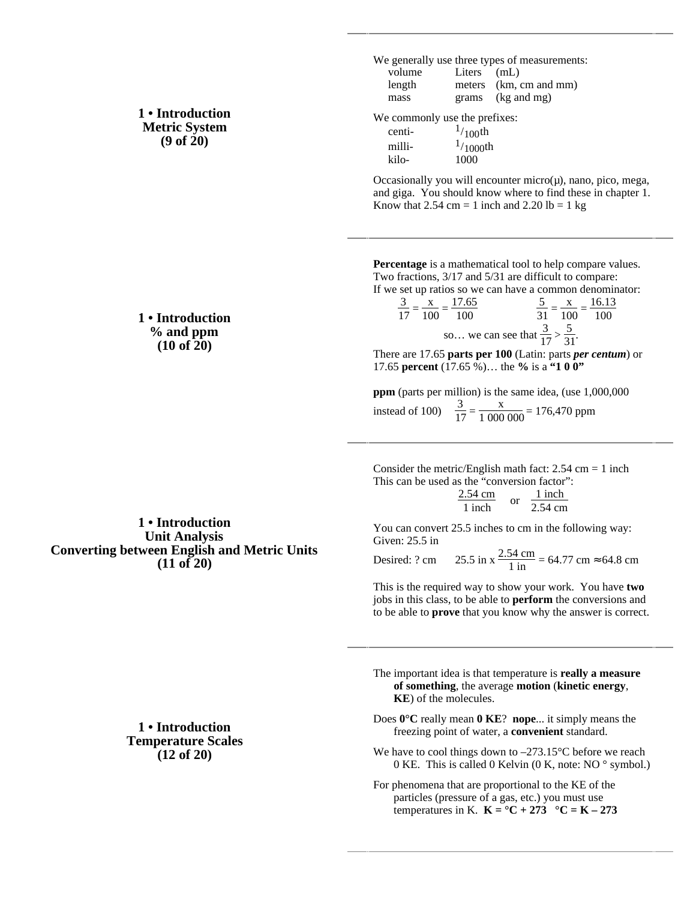**1 • Introduction Metric System (9 of 20)**

**1 • Introduction % and ppm (10 of 20)**

**(11 of 20)**

**1 • Introduction Unit Analysis Converting between English and Metric Units**

> **1 • Introduction Temperature Scales (12 of 20)**

We generally use three types of measurements: volume Liters (mL) length meters (km, cm and mm) mass grams (kg and mg)

We commonly use the prefixes:

centi- $\frac{1}{100}$ th milli- $\frac{1/1000}$ <br>kilo- $\frac{1000}$ 1000

Occasionally you will encounter micro $(\mu)$ , nano, pico, mega, and giga. You should know where to find these in chapter 1. Know that 2.54 cm = 1 inch and 2.20 lb = 1 kg

**Percentage** is a mathematical tool to help compare values. Two fractions, 3/17 and 5/31 are difficult to compare: If we set up ratios so we can have a common denominator:

| 3 x 17.65                                          |  |                  | x 16.13 |
|----------------------------------------------------|--|------------------|---------|
| $17 - 100 - 100$                                   |  | $31 - 100 - 100$ |         |
| so we can see that $\frac{3}{17} > \frac{5}{31}$ . |  |                  |         |

There are 17.65 **parts per 100** (Latin: parts *per centum*) or 17.65 **percent** (17.65 %)… the **%** is a **"1 0 0"**

**ppm** (parts per million) is the same idea, (use 1,000,000 instead of 100)  $\frac{3}{17} = \frac{x}{1,000,000} = 176,470$  ppm

Consider the metric/English math fact:  $2.54 \text{ cm} = 1$  inch This can be used as the "conversion factor":

> 2.54 cm 1 inch 1 inch 2.54 cm

You can convert 25.5 inches to cm in the following way: Given: 25.5 in

Desired: ? cm 25.5 in x  $\frac{2.54 \text{ cm}}{1 \text{ in}}$  = 64.77 cm 64.8 cm

This is the required way to show your work. You have **two** jobs in this class, to be able to **perform** the conversions and to be able to **prove** that you know why the answer is correct.

The important idea is that temperature is **really a measure of something**, the average **motion** (**kinetic energy**, **KE**) of the molecules.

Does **0°C** really mean **0 KE**? **nope**... it simply means the freezing point of water, a **convenient** standard.

We have to cool things down to  $-273.15^{\circ}$ C before we reach 0 KE. This is called 0 Kelvin (0 K, note: NO ° symbol.)

For phenomena that are proportional to the KE of the particles (pressure of a gas, etc.) you must use temperatures in K.  $K = {}^{\circ}C + 273 {}^{\circ}C = K - 273$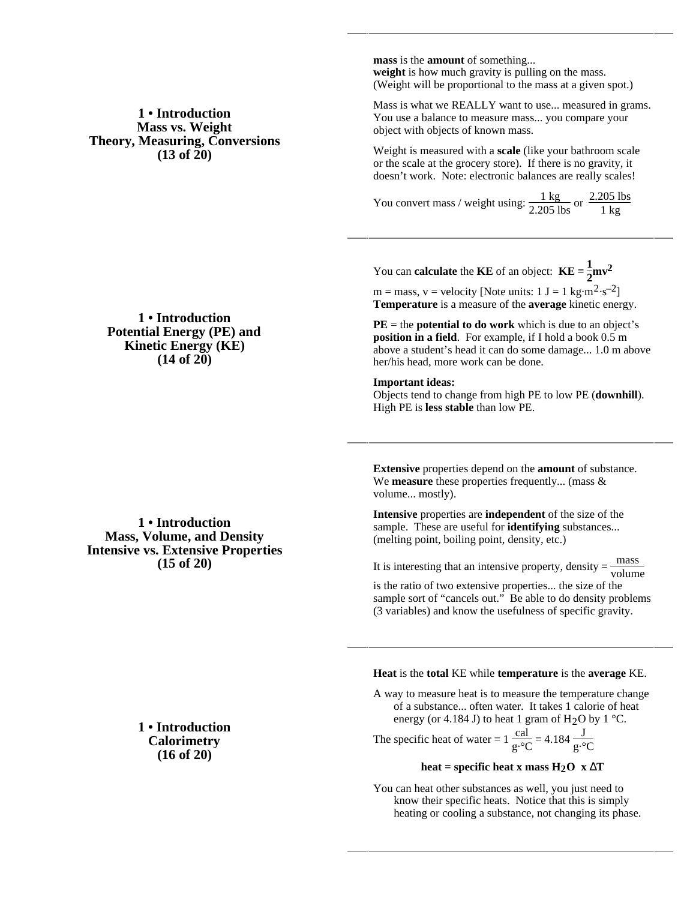**1 • Introduction Mass vs. Weight Theory, Measuring, Conversions (13 of 20)**

**mass** is the **amount** of something... weight is how much gravity is pulling on the mass. (Weight will be proportional to the mass at a given spot.)

Mass is what we REALLY want to use... measured in grams. You use a balance to measure mass... you compare your object with objects of known mass.

Weight is measured with a **scale** (like your bathroom scale or the scale at the grocery store). If there is no gravity, it doesn't work. Note: electronic balances are really scales!

You convert mass / weight using:  $\frac{1 \text{ kg}}{2.205 \text{ lbs}}$  or  $\frac{2.205 \text{ lbs}}{1 \text{ kg}}$ 1 kg

You can **calculate** the **KE** of an object:  $KE = \frac{1}{2}mv^2$ 

 $m =$  mass,  $v =$  velocity [Note units:  $1 J = 1 kg·m<sup>2</sup>·s<sup>-2</sup>$ ] **Temperature** is a measure of the **average** kinetic energy.

**PE** = the **potential to do work** which is due to an object's **position in a field**. For example, if I hold a book 0.5 m above a student's head it can do some damage... 1.0 m above her/his head, more work can be done.

#### **Important ideas:**

Objects tend to change from high PE to low PE (**downhill**). High PE is **less stable** than low PE.

**Extensive** properties depend on the **amount** of substance. We **measure** these properties frequently... (mass & volume... mostly).

**Intensive** properties are **independent** of the size of the sample. These are useful for **identifying** substances... (melting point, boiling point, density, etc.)

It is interesting that an intensive property, density  $=$   $\frac{\text{mass}}{\text{volume}}$ 

is the ratio of two extensive properties... the size of the sample sort of "cancels out." Be able to do density problems (3 variables) and know the usefulness of specific gravity.

#### **Heat** is the **total** KE while **temperature** is the **average** KE.

A way to measure heat is to measure the temperature change of a substance... often water. It takes 1 calorie of heat energy (or 4.184 J) to heat 1 gram of H<sub>2</sub>O by 1 °C.

The specific heat of water =  $1 \frac{cal}{g \cdot {}^{\circ}C} = 4.184 \frac{J}{g \cdot {}^{\circ}C}$ 

### **heat = specific heat x mass**  $H_2O$  **x T**

You can heat other substances as well, you just need to know their specific heats. Notice that this is simply heating or cooling a substance, not changing its phase.

**1 • Introduction Potential Energy (PE) and Kinetic Energy (KE) (14 of 20)**

**1 • Introduction Mass, Volume, and Density Intensive vs. Extensive Properties (15 of 20)**

> **1 • Introduction Calorimetry (16 of 20)**